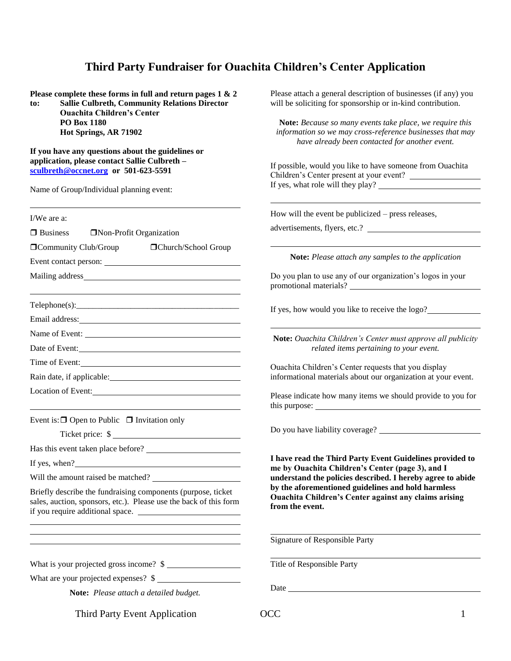## **Third Party Fundraiser for Ouachita Children's Center Application**

**Please complete these forms in full and return pages 1 & 2 to: Sallie Culbreth, Community Relations Director Ouachita Children's Center PO Box 1180 Hot Springs, AR 71902**

**If you have any questions about the guidelines or application, please contact Sallie Culbreth – [sculbreth@occnet.org](mailto:sculbreth@occnet.org) or 501-623-5591**

Name of Group/Individual planning event:

Third Party Event Application  $OCC$  1 I/We are a:  $\Box$  Business  $\Box$  Non-Profit Organization  $\Box$ Community Club/Group  $\Box$ Church/School Group Event contact person: Mailing address **Exercise 2018**  $Telephone(s)$ : Email address: Name of Event: Date of Event: Time of Event: Rain date, if applicable: Location of Event: Event is:  $\Box$  Open to Public  $\Box$  Invitation only Ticket price:  $\frac{1}{2}$ Has this event taken place before? If yes, when? Will the amount raised be matched? Briefly describe the fundraising components (purpose, ticket sales, auction, sponsors, etc.). Please use the back of this form if you require additional space. What is your projected gross income?  $\frac{1}{2}$ What are your projected expenses? \$ **Note:** *Please attach a detailed budget.* advertisements, flyers, etc.? **from the event.** Signature of Responsible Party Title of Responsible Party Date and the state of the state of the state of the state of the state of the state of the state of the state of the state of the state of the state of the state of the state of the state of the state of the state of the s

Please attach a general description of businesses (if any) you will be soliciting for sponsorship or in-kind contribution.

**Note:** *Because so many events take place, we require this information so we may cross-reference businesses that may have already been contacted for another event.*

If possible, would you like to have someone from Ouachita Children's Center present at your event? If yes, what role will they play?

How will the event be publicized – press releases,

**Note:** *Please attach any samples to the application*

Do you plan to use any of our organization's logos in your promotional materials?

If yes, how would you like to receive the logo?

**Note:** *Ouachita Children's Center must approve all publicity related items pertaining to your event.*

Ouachita Children's Center requests that you display informational materials about our organization at your event.

Please indicate how many items we should provide to you for this purpose:

Do you have liability coverage?

**I have read the Third Party Event Guidelines provided to me by Ouachita Children's Center (page 3), and I understand the policies described. I hereby agree to abide by the aforementioned guidelines and hold harmless Ouachita Children's Center against any claims arising** 

l,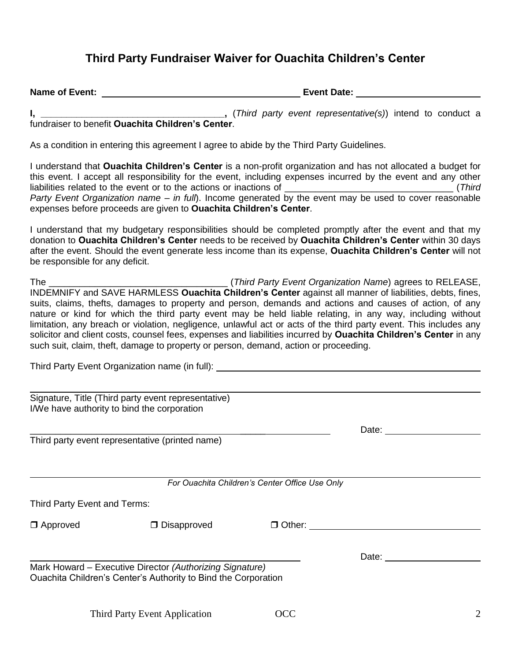## **Third Party Fundraiser Waiver for Ouachita Children's Center**

| <b>Name of Event:</b> | <b>Event Date:</b> |
|-----------------------|--------------------|
|                       |                    |

**I, \_\_\_\_\_\_\_\_\_\_\_\_\_\_\_\_\_\_\_\_\_\_\_\_\_\_\_\_\_\_\_\_\_\_\_\_,** (*Third party event representative(s)*) intend to conduct a fundraiser to benefit **Ouachita Children's Center**.

As a condition in entering this agreement I agree to abide by the Third Party Guidelines.

I understand that **Ouachita Children's Center** is a non-profit organization and has not allocated a budget for this event. I accept all responsibility for the event, including expenses incurred by the event and any other liabilities related to the event or to the actions or inactions of **Example 2** and *Third* (*Third i Party Event Organization name – in full*). Income generated by the event may be used to cover reasonable expenses before proceeds are given to **Ouachita Children's Center**.

I understand that my budgetary responsibilities should be completed promptly after the event and that my donation to **Ouachita Children's Center** needs to be received by **Ouachita Children's Center** within 30 days after the event. Should the event generate less income than its expense, **Ouachita Children's Center** will not be responsible for any deficit.

The \_\_\_\_\_\_\_\_\_\_\_\_\_\_\_\_\_\_\_\_\_\_\_\_\_\_\_\_\_\_\_\_\_\_\_ (*Third Party Event Organization Name*) agrees to RELEASE, INDEMNIFY and SAVE HARMLESS **Ouachita Children's Center** against all manner of liabilities, debts, fines, suits, claims, thefts, damages to property and person, demands and actions and causes of action, of any nature or kind for which the third party event may be held liable relating, in any way, including without limitation, any breach or violation, negligence, unlawful act or acts of the third party event. This includes any solicitor and client costs, counsel fees, expenses and liabilities incurred by **Ouachita Children's Center** in any such suit, claim, theft, damage to property or person, demand, action or proceeding.

Third Party Event Organization name (in full):

|                              | Signature, Title (Third party event representative)<br>I/We have authority to bind the corporation                         |                                                |       |  |
|------------------------------|----------------------------------------------------------------------------------------------------------------------------|------------------------------------------------|-------|--|
|                              |                                                                                                                            |                                                | Date: |  |
|                              | Third party event representative (printed name)                                                                            |                                                |       |  |
|                              |                                                                                                                            | For Ouachita Children's Center Office Use Only |       |  |
| Third Party Event and Terms: |                                                                                                                            |                                                |       |  |
| $\Box$ Approved              | $\Box$ Disapproved                                                                                                         | □ Other:                                       |       |  |
|                              |                                                                                                                            |                                                | Date: |  |
|                              | Mark Howard - Executive Director (Authorizing Signature)<br>Ouachita Children's Center's Authority to Bind the Corporation |                                                |       |  |